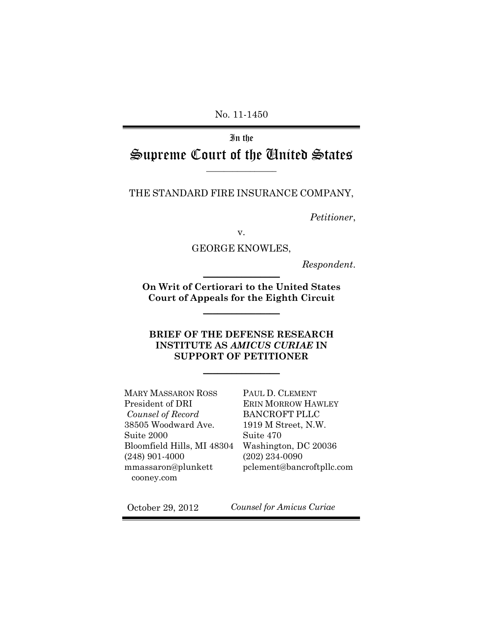No. 11-1450

# In the Supreme Court of the United States

### THE STANDARD FIRE INSURANCE COMPANY,

*Petitioner*,

v.

### GEORGE KNOWLES,

 $Respondent.$ 

**On Writ of Certiorari to the United States Court of Appeals for the Eighth Circuit** 

 $\mathcal{L}$ 

### **BRIEF OF THE DEFENSE RESEARCH INSTITUTE AS** *AMICUS CURIAE* **IN SUPPORT OF PETITIONER**

 $\frac{1}{2}$  , where  $\frac{1}{2}$  , where  $\frac{1}{2}$ 

MARY MASSARON ROSS President of DRI  *Counsel of Record*  38505 Woodward Ave. Suite 2000 Bloomfield Hills, MI 48304 (248) 901-4000 mmassaron@plunkett cooney.com

PAUL D. CLEMENT ERIN MORROW HAWLEY BANCROFT PLLC 1919 M Street, N.W. Suite 470 Washington, DC 20036 (202) 234-0090 pclement@bancroftpllc.com

October 29, 2012 *Counsel for Amicus Curiae*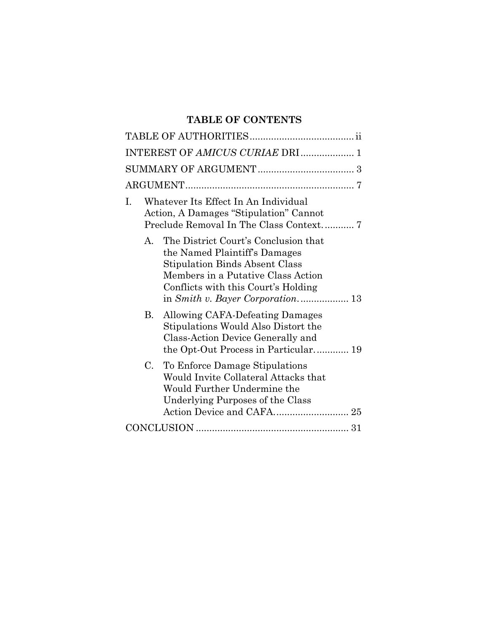## **TABLE OF CONTENTS**

| INTEREST OF AMICUS CURIAE DRI  1                                                                                                                                                                  |  |  |  |  |  |  |
|---------------------------------------------------------------------------------------------------------------------------------------------------------------------------------------------------|--|--|--|--|--|--|
|                                                                                                                                                                                                   |  |  |  |  |  |  |
|                                                                                                                                                                                                   |  |  |  |  |  |  |
| Whatever Its Effect In An Individual<br>L<br>Action, A Damages "Stipulation" Cannot<br>Preclude Removal In The Class Context 7                                                                    |  |  |  |  |  |  |
| The District Court's Conclusion that<br>A.<br>the Named Plaintiff's Damages<br><b>Stipulation Binds Absent Class</b><br>Members in a Putative Class Action<br>Conflicts with this Court's Holding |  |  |  |  |  |  |
| Allowing CAFA-Defeating Damages<br>В.<br>Stipulations Would Also Distort the<br>Class-Action Device Generally and<br>the Opt-Out Process in Particular 19                                         |  |  |  |  |  |  |
| C. To Enforce Damage Stipulations<br>Would Invite Collateral Attacks that<br>Would Further Undermine the<br>Underlying Purposes of the Class                                                      |  |  |  |  |  |  |
|                                                                                                                                                                                                   |  |  |  |  |  |  |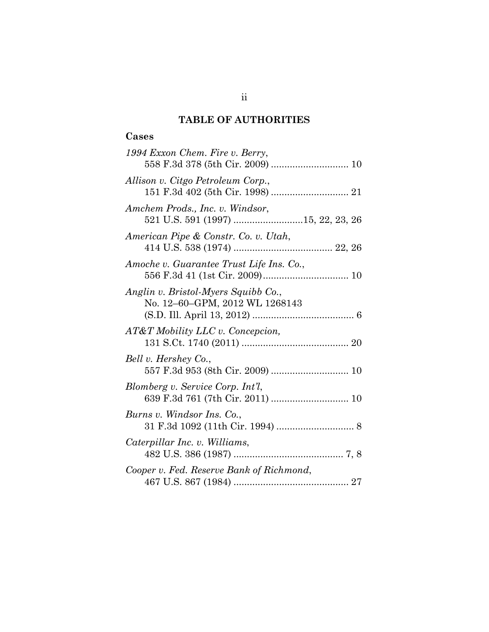## **TABLE OF AUTHORITIES**

## **Cases**

| 1994 Exxon Chem. Fire v. Berry,                                       |
|-----------------------------------------------------------------------|
| Allison v. Citgo Petroleum Corp.,                                     |
| Amchem Prods., Inc. v. Windsor,<br>521 U.S. 591 (1997) 15, 22, 23, 26 |
| American Pipe & Constr. Co. v. Utah,                                  |
| Amoche v. Guarantee Trust Life Ins. Co.,                              |
| Anglin v. Bristol-Myers Squibb Co.,<br>No. 12-60-GPM, 2012 WL 1268143 |
| AT&T Mobility LLC v. Concepcion,                                      |
| Bell v. Hershey Co.,<br>557 F.3d 953 (8th Cir. 2009)  10              |
| Blomberg v. Service Corp. Int'l,<br>639 F.3d 761 (7th Cir. 2011)  10  |
| Burns v. Windsor Ins. Co.,                                            |
| Caterpillar Inc. v. Williams,                                         |
| Cooper v. Fed. Reserve Bank of Richmond,                              |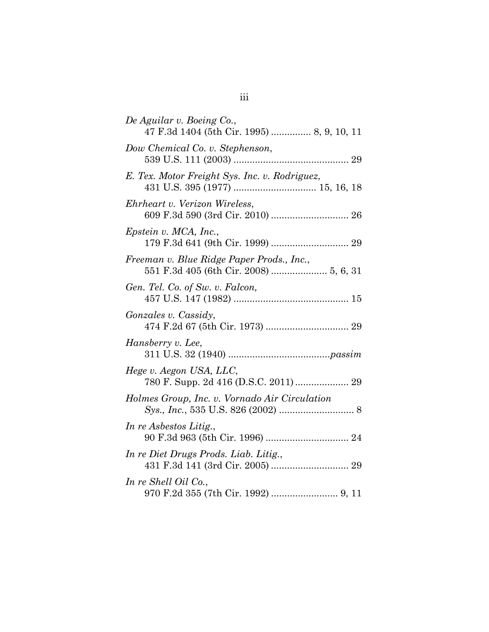| De Aguilar v. Boeing Co.,<br>47 F.3d 1404 (5th Cir. 1995)  8, 9, 10, 11 |
|-------------------------------------------------------------------------|
| Dow Chemical Co. v. Stephenson,                                         |
| E. Tex. Motor Freight Sys. Inc. v. Rodriguez,                           |
| Ehrheart v. Verizon Wireless,<br>609 F.3d 590 (3rd Cir. 2010)  26       |
| Epstein v. MCA, Inc.,                                                   |
| Freeman v. Blue Ridge Paper Prods., Inc.,                               |
| Gen. Tel. Co. of Sw. v. Falcon,                                         |
| <i>Gonzales v. Cassidy,</i>                                             |
| Hansberry v. Lee,                                                       |
| Hege v. Aegon USA, LLC,                                                 |
| Holmes Group, Inc. v. Vornado Air Circulation                           |
| In re Asbestos Litig.,                                                  |
| In re Diet Drugs Prods. Liab. Litig.,                                   |
| In re Shell Oil Co.,<br>970 F.2d 355 (7th Cir. 1992)  9, 11             |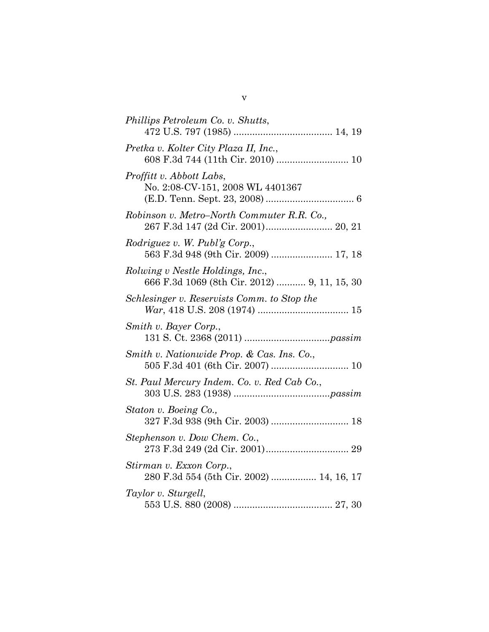| Phillips Petroleum Co. v. Shutts,                                                |
|----------------------------------------------------------------------------------|
| Pretka v. Kolter City Plaza II, Inc.,                                            |
| Proffitt v. Abbott Labs,<br>No. 2:08-CV-151, 2008 WL 4401367                     |
| Robinson v. Metro-North Commuter R.R. Co.,                                       |
| Rodriguez v. W. Publ'g Corp.,<br>563 F.3d 948 (9th Cir. 2009)  17, 18            |
| Rolwing v Nestle Holdings, Inc.,<br>666 F.3d 1069 (8th Cir. 2012)  9, 11, 15, 30 |
| Schlesinger v. Reservists Comm. to Stop the                                      |
| Smith v. Bayer Corp.,                                                            |
| Smith v. Nationwide Prop. & Cas. Ins. Co.,                                       |
| St. Paul Mercury Indem. Co. v. Red Cab Co.,                                      |
| Staton v. Boeing Co.,                                                            |
| Stephenson v. Dow Chem. Co.,                                                     |
| Stirman v. Exxon Corp.,<br>280 F.3d 554 (5th Cir. 2002)  14, 16, 17              |
| Taylor v. Sturgell,                                                              |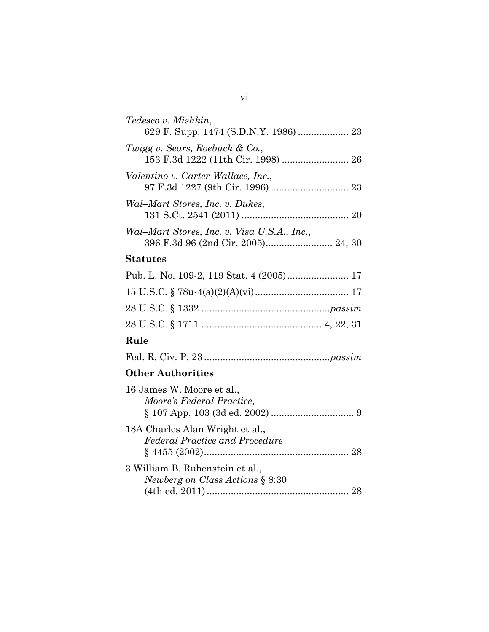| Tedesco v. Mishkin,                         |
|---------------------------------------------|
| Twigg v. Sears, Roebuck & Co.,              |
| Valentino v. Carter-Wallace, Inc.,          |
| Wal-Mart Stores, Inc. v. Dukes,             |
| Wal–Mart Stores, Inc. v. Visa U.S.A., Inc., |

## **Statutes**

| $\mathbf{D}$ and $\mathbf{D}$ and $\mathbf{D}$ and $\mathbf{D}$ and $\mathbf{D}$ and $\mathbf{D}$ and $\mathbf{D}$ and $\mathbf{D}$ and $\mathbf{D}$ and $\mathbf{D}$ and $\mathbf{D}$ and $\mathbf{D}$ and $\mathbf{D}$ and $\mathbf{D}$ and $\mathbf{D}$ and $\mathbf{D}$ and $\mathbf{D}$ and |  |
|--------------------------------------------------------------------------------------------------------------------------------------------------------------------------------------------------------------------------------------------------------------------------------------------------|--|

### **Rule**

## **Other Authorities**

| 16 James W. Moore et al.,              |
|----------------------------------------|
| Moore's Federal Practice,              |
|                                        |
| 18A Charles Alan Wright et al.,        |
| <b>Federal Practice and Procedure</b>  |
|                                        |
| 3 William B. Rubenstein et al.,        |
| <i>Newberg on Class Actions</i> § 8:30 |
|                                        |

### vi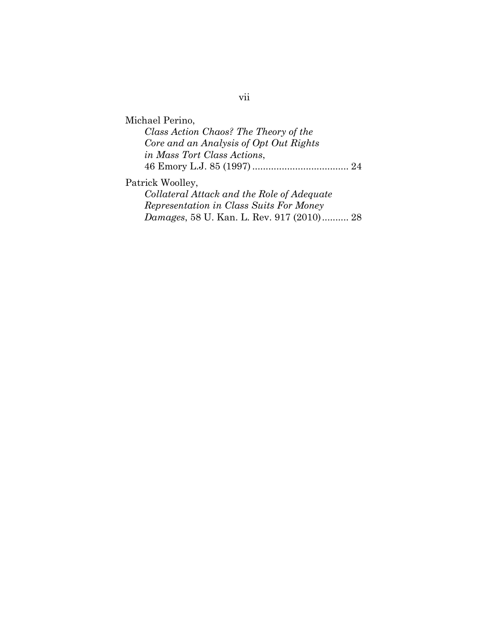## vii

Michael Perino, *Class Action Chaos? The Theory of the Core and an Analysis of Opt Out Rights in Mass Tort Class Actions*, 46 Emory L.J. 85 (1997) .................................... 24 Patrick Woolley, *Collateral Attack and the Role of Adequate Representation in Class Suits For Money Damages*, 58 U. Kan. L. Rev. 917 (2010) .......... 28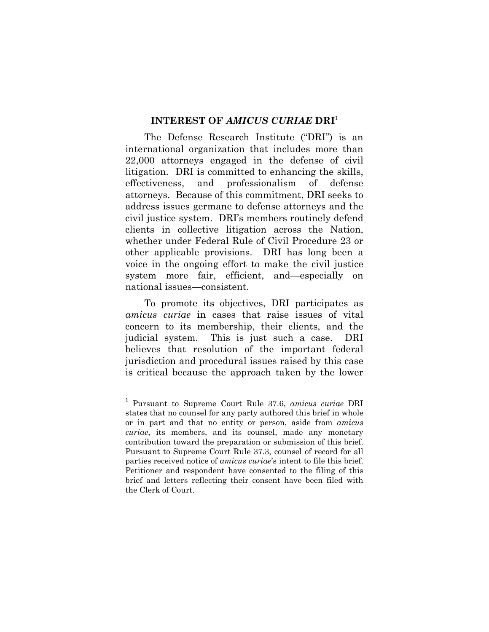#### **INTEREST OF** *AMICUS CURIAE* **DRI**<sup>1</sup>

The Defense Research Institute ("DRI") is an international organization that includes more than 22,000 attorneys engaged in the defense of civil litigation. DRI is committed to enhancing the skills, effectiveness, and professionalism of defense attorneys. Because of this commitment, DRI seeks to address issues germane to defense attorneys and the civil justice system. DRI's members routinely defend clients in collective litigation across the Nation, whether under Federal Rule of Civil Procedure 23 or other applicable provisions. DRI has long been a voice in the ongoing effort to make the civil justice system more fair, efficient, and—especially on national issues—consistent.

To promote its objectives, DRI participates as *amicus curiae* in cases that raise issues of vital concern to its membership, their clients, and the judicial system. This is just such a case. DRI believes that resolution of the important federal jurisdiction and procedural issues raised by this case is critical because the approach taken by the lower

 $\overline{a}$ 

<sup>1</sup> Pursuant to Supreme Court Rule 37.6, *amicus curiae* DRI states that no counsel for any party authored this brief in whole or in part and that no entity or person, aside from *amicus curiae*, its members, and its counsel, made any monetary contribution toward the preparation or submission of this brief. Pursuant to Supreme Court Rule 37.3, counsel of record for all parties received notice of *amicus curiae*'s intent to file this brief. Petitioner and respondent have consented to the filing of this brief and letters reflecting their consent have been filed with the Clerk of Court.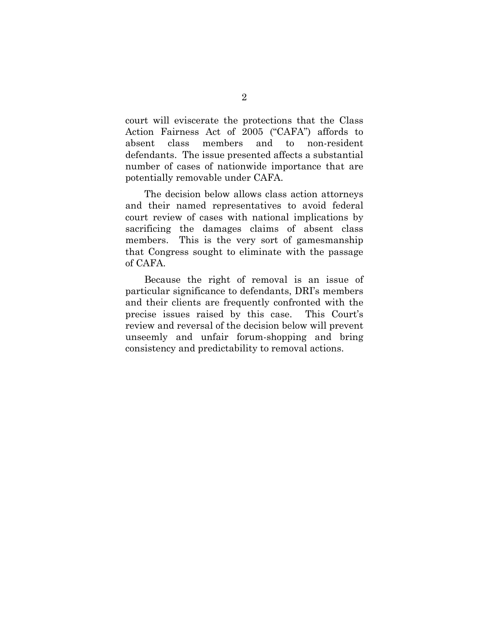court will eviscerate the protections that the Class Action Fairness Act of 2005 ("CAFA") affords to absent class members and to non-resident defendants. The issue presented affects a substantial number of cases of nationwide importance that are potentially removable under CAFA.

The decision below allows class action attorneys and their named representatives to avoid federal court review of cases with national implications by sacrificing the damages claims of absent class members. This is the very sort of gamesmanship that Congress sought to eliminate with the passage of CAFA.

Because the right of removal is an issue of particular significance to defendants, DRI's members and their clients are frequently confronted with the precise issues raised by this case. This Court's review and reversal of the decision below will prevent unseemly and unfair forum-shopping and bring consistency and predictability to removal actions.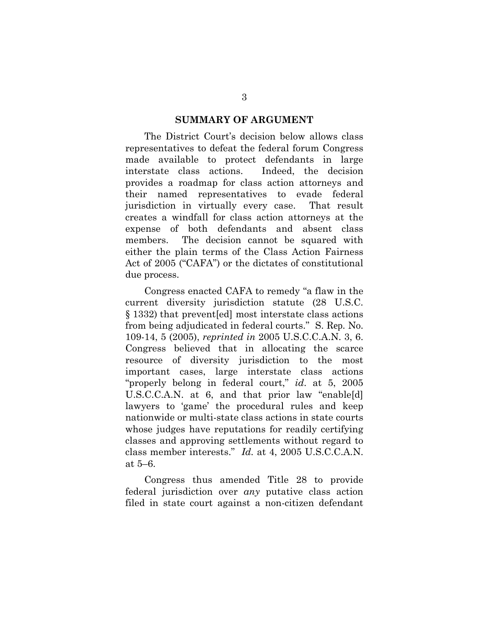#### **SUMMARY OF ARGUMENT**

The District Court's decision below allows class representatives to defeat the federal forum Congress made available to protect defendants in large interstate class actions. Indeed, the decision provides a roadmap for class action attorneys and their named representatives to evade federal jurisdiction in virtually every case. That result creates a windfall for class action attorneys at the expense of both defendants and absent class members. The decision cannot be squared with either the plain terms of the Class Action Fairness Act of 2005 ("CAFA") or the dictates of constitutional due process.

Congress enacted CAFA to remedy "a flaw in the current diversity jurisdiction statute (28 U.S.C. § 1332) that prevent[ed] most interstate class actions from being adjudicated in federal courts." S. Rep. No. 109-14, 5 (2005), *reprinted in* 2005 U.S.C.C.A.N. 3, 6. Congress believed that in allocating the scarce resource of diversity jurisdiction to the most important cases, large interstate class actions "properly belong in federal court," *id*. at 5, 2005 U.S.C.C.A.N. at 6, and that prior law "enable[d] lawyers to 'game' the procedural rules and keep nationwide or multi-state class actions in state courts whose judges have reputations for readily certifying classes and approving settlements without regard to class member interests." *Id.* at 4, 2005 U.S.C.C.A.N. at 5–6.

Congress thus amended Title 28 to provide federal jurisdiction over *any* putative class action filed in state court against a non-citizen defendant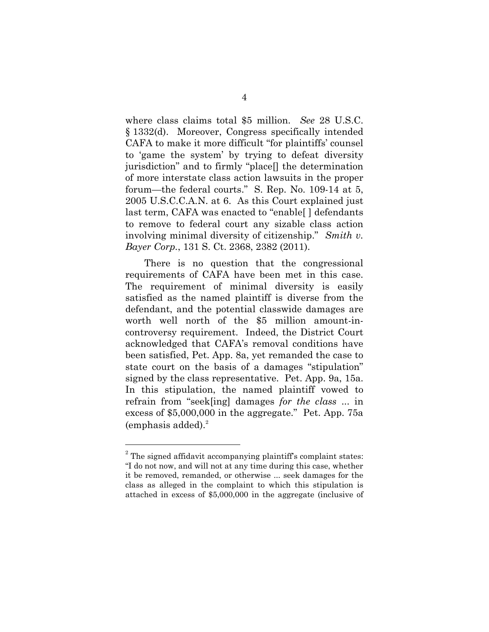where class claims total \$5 million. *See* 28 U.S.C. § 1332(d). Moreover, Congress specifically intended CAFA to make it more difficult "for plaintiffs' counsel to 'game the system' by trying to defeat diversity jurisdiction" and to firmly "place[] the determination of more interstate class action lawsuits in the proper forum—the federal courts." S. Rep. No. 109-14 at 5, 2005 U.S.C.C.A.N. at 6. As this Court explained just last term, CAFA was enacted to "enable[ ] defendants to remove to federal court any sizable class action involving minimal diversity of citizenship." *Smith v. Bayer Corp.*, 131 S. Ct. 2368, 2382 (2011).

There is no question that the congressional requirements of CAFA have been met in this case. The requirement of minimal diversity is easily satisfied as the named plaintiff is diverse from the defendant, and the potential classwide damages are worth well north of the \$5 million amount-incontroversy requirement. Indeed, the District Court acknowledged that CAFA's removal conditions have been satisfied, Pet. App. 8a, yet remanded the case to state court on the basis of a damages "stipulation" signed by the class representative. Pet. App. 9a, 15a. In this stipulation, the named plaintiff vowed to refrain from "seek[ing] damages *for the class* ... in excess of \$5,000,000 in the aggregate." Pet. App. 75a (emphasis added). $^{2}$ 

 $\overline{a}$ 

 $2^2$  The signed affidavit accompanying plaintiff's complaint states: "I do not now, and will not at any time during this case, whether it be removed, remanded, or otherwise ... seek damages for the class as alleged in the complaint to which this stipulation is attached in excess of \$5,000,000 in the aggregate (inclusive of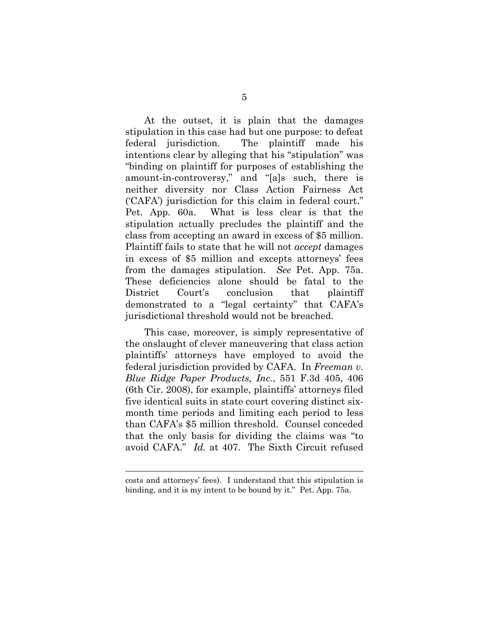At the outset, it is plain that the damages stipulation in this case had but one purpose: to defeat federal jurisdiction. The plaintiff made his intentions clear by alleging that his "stipulation" was "binding on plaintiff for purposes of establishing the amount-in-controversy," and "[a]s such, there is neither diversity nor Class Action Fairness Act ('CAFA') jurisdiction for this claim in federal court." Pet. App. 60a. What is less clear is that the stipulation actually precludes the plaintiff and the class from accepting an award in excess of \$5 million. Plaintiff fails to state that he will not *accept* damages in excess of \$5 million and excepts attorneys' fees from the damages stipulation. *See* Pet. App. 75a. These deficiencies alone should be fatal to the District Court's conclusion that plaintiff demonstrated to a "legal certainty" that CAFA's jurisdictional threshold would not be breached.

This case, moreover, is simply representative of the onslaught of clever maneuvering that class action plaintiffs' attorneys have employed to avoid the federal jurisdiction provided by CAFA. In *Freeman v. Blue Ridge Paper Products, Inc.*, 551 F.3d 405, 406 (6th Cir. 2008), for example, plaintiffs' attorneys filed five identical suits in state court covering distinct sixmonth time periods and limiting each period to less than CAFA's \$5 million threshold. Counsel conceded that the only basis for dividing the claims was "to avoid CAFA." *Id.* at 407. The Sixth Circuit refused

l

costs and attorneys' fees). I understand that this stipulation is binding, and it is my intent to be bound by it." Pet. App. 75a.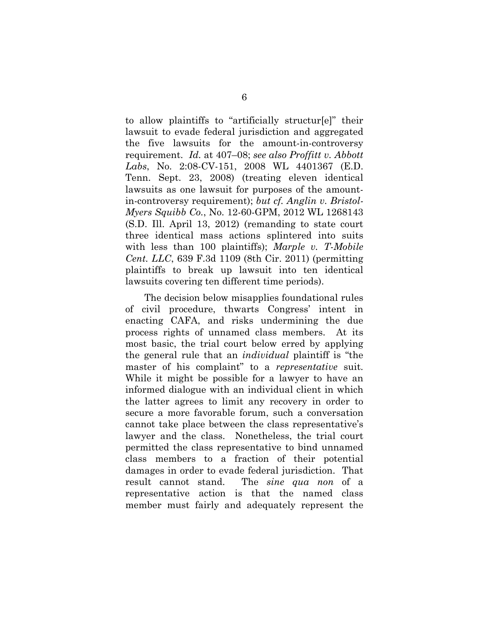to allow plaintiffs to "artificially structur[e]" their lawsuit to evade federal jurisdiction and aggregated the five lawsuits for the amount-in-controversy requirement. *Id.* at 407–08; *see also Proffitt v. Abbott Labs*, No. 2:08-CV-151, 2008 WL 4401367 (E.D. Tenn. Sept. 23, 2008) (treating eleven identical lawsuits as one lawsuit for purposes of the amountin-controversy requirement); *but cf. Anglin v. Bristol-Myers Squibb Co.*, No. 12-60-GPM, 2012 WL 1268143 (S.D. Ill. April 13, 2012) (remanding to state court three identical mass actions splintered into suits with less than 100 plaintiffs); *Marple v. T-Mobile Cent. LLC*, 639 F.3d 1109 (8th Cir. 2011) (permitting plaintiffs to break up lawsuit into ten identical lawsuits covering ten different time periods).

The decision below misapplies foundational rules of civil procedure, thwarts Congress' intent in enacting CAFA, and risks undermining the due process rights of unnamed class members. At its most basic, the trial court below erred by applying the general rule that an *individual* plaintiff is "the master of his complaint" to a *representative* suit. While it might be possible for a lawyer to have an informed dialogue with an individual client in which the latter agrees to limit any recovery in order to secure a more favorable forum, such a conversation cannot take place between the class representative's lawyer and the class. Nonetheless, the trial court permitted the class representative to bind unnamed class members to a fraction of their potential damages in order to evade federal jurisdiction. That result cannot stand. The *sine qua non* of a representative action is that the named class member must fairly and adequately represent the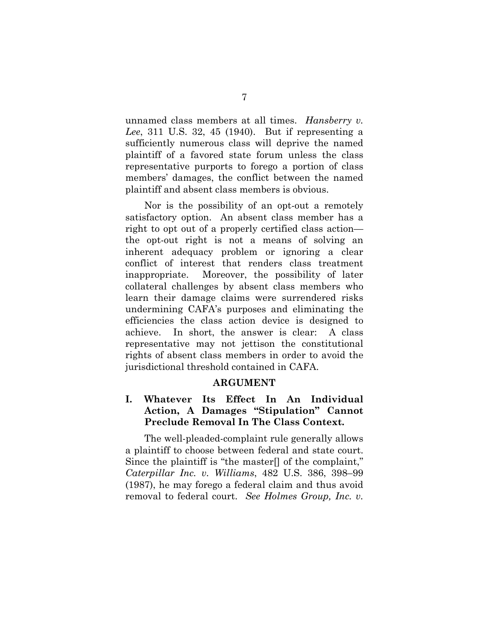unnamed class members at all times. *Hansberry v. Lee*, 311 U.S. 32, 45 (1940). But if representing a sufficiently numerous class will deprive the named plaintiff of a favored state forum unless the class representative purports to forego a portion of class members' damages, the conflict between the named plaintiff and absent class members is obvious.

Nor is the possibility of an opt-out a remotely satisfactory option. An absent class member has a right to opt out of a properly certified class action the opt-out right is not a means of solving an inherent adequacy problem or ignoring a clear conflict of interest that renders class treatment inappropriate. Moreover, the possibility of later collateral challenges by absent class members who learn their damage claims were surrendered risks undermining CAFA's purposes and eliminating the efficiencies the class action device is designed to achieve. In short, the answer is clear: A class representative may not jettison the constitutional rights of absent class members in order to avoid the jurisdictional threshold contained in CAFA.

### **ARGUMENT**

## **I. Whatever Its Effect In An Individual Action, A Damages "Stipulation" Cannot Preclude Removal In The Class Context.**

The well-pleaded-complaint rule generally allows a plaintiff to choose between federal and state court. Since the plaintiff is "the master[] of the complaint," *Caterpillar Inc. v. Williams*, 482 U.S. 386, 398–99 (1987), he may forego a federal claim and thus avoid removal to federal court. *See Holmes Group, Inc. v.*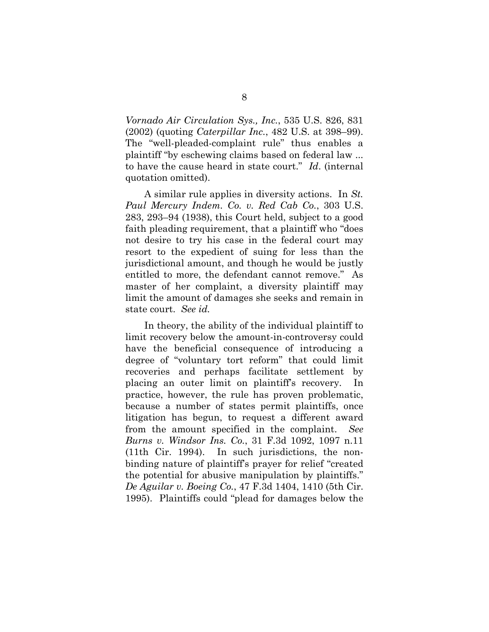*Vornado Air Circulation Sys., Inc.*, 535 U.S. 826, 831 (2002) (quoting *Caterpillar Inc.*, 482 U.S. at 398–99). The "well-pleaded-complaint rule" thus enables a plaintiff "by eschewing claims based on federal law ... to have the cause heard in state court." *Id*. (internal quotation omitted).

A similar rule applies in diversity actions. In *St. Paul Mercury Indem. Co. v. Red Cab Co.*, 303 U.S. 283, 293–94 (1938), this Court held, subject to a good faith pleading requirement, that a plaintiff who "does not desire to try his case in the federal court may resort to the expedient of suing for less than the jurisdictional amount, and though he would be justly entitled to more, the defendant cannot remove." As master of her complaint, a diversity plaintiff may limit the amount of damages she seeks and remain in state court. *See id.*

In theory, the ability of the individual plaintiff to limit recovery below the amount-in-controversy could have the beneficial consequence of introducing a degree of "voluntary tort reform" that could limit recoveries and perhaps facilitate settlement by placing an outer limit on plaintiff's recovery. In practice, however, the rule has proven problematic, because a number of states permit plaintiffs, once litigation has begun, to request a different award from the amount specified in the complaint. *See Burns v. Windsor Ins. Co.*, 31 F.3d 1092, 1097 n.11 (11th Cir. 1994). In such jurisdictions, the nonbinding nature of plaintiff's prayer for relief "created the potential for abusive manipulation by plaintiffs." *De Aguilar v. Boeing Co.*, 47 F.3d 1404, 1410 (5th Cir. 1995). Plaintiffs could "plead for damages below the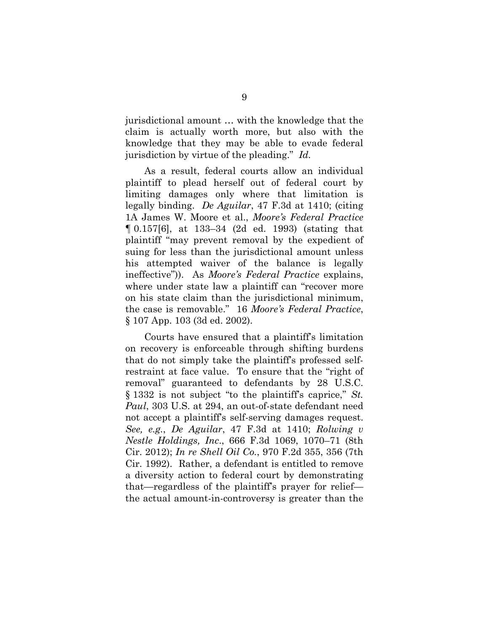jurisdictional amount … with the knowledge that the claim is actually worth more, but also with the knowledge that they may be able to evade federal jurisdiction by virtue of the pleading." *Id.*

As a result, federal courts allow an individual plaintiff to plead herself out of federal court by limiting damages only where that limitation is legally binding. *De Aguilar*, 47 F.3d at 1410; (citing 1A James W. Moore et al., *Moore's Federal Practice* ¶ 0.157[6], at 133–34 (2d ed. 1993) (stating that plaintiff "may prevent removal by the expedient of suing for less than the jurisdictional amount unless his attempted waiver of the balance is legally ineffective")). As *Moore's Federal Practice* explains, where under state law a plaintiff can "recover more on his state claim than the jurisdictional minimum, the case is removable." 16 *Moore's Federal Practice*, § 107 App. 103 (3d ed. 2002).

Courts have ensured that a plaintiff's limitation on recovery is enforceable through shifting burdens that do not simply take the plaintiff's professed selfrestraint at face value. To ensure that the "right of removal" guaranteed to defendants by 28 U.S.C. § 1332 is not subject "to the plaintiff's caprice," *St. Paul*, 303 U.S. at 294, an out-of-state defendant need not accept a plaintiff's self-serving damages request. *See, e.g.*, *De Aguilar*, 47 F.3d at 1410; *Rolwing v Nestle Holdings, Inc*., 666 F.3d 1069, 1070–71 (8th Cir. 2012); *In re Shell Oil Co.*, 970 F.2d 355, 356 (7th Cir. 1992). Rather, a defendant is entitled to remove a diversity action to federal court by demonstrating that—regardless of the plaintiff's prayer for relief the actual amount-in-controversy is greater than the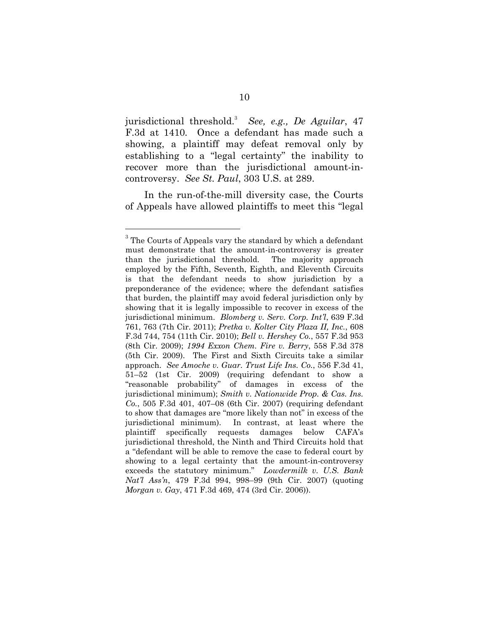jurisdictional threshold.3 *See, e.g., De Aguilar*, 47 F.3d at 1410*.* Once a defendant has made such a showing, a plaintiff may defeat removal only by establishing to a "legal certainty" the inability to recover more than the jurisdictional amount-incontroversy. *See St. Paul*, 303 U.S. at 289.

In the run-of-the-mill diversity case, the Courts of Appeals have allowed plaintiffs to meet this "legal

 $\overline{a}$ 

 $3$  The Courts of Appeals vary the standard by which a defendant must demonstrate that the amount-in-controversy is greater than the jurisdictional threshold. The majority approach employed by the Fifth, Seventh, Eighth, and Eleventh Circuits is that the defendant needs to show jurisdiction by a preponderance of the evidence; where the defendant satisfies that burden, the plaintiff may avoid federal jurisdiction only by showing that it is legally impossible to recover in excess of the jurisdictional minimum. *Blomberg v. Serv. Corp. Int'l*, 639 F.3d 761, 763 (7th Cir. 2011); *Pretka v. Kolter City Plaza II, Inc.*, 608 F.3d 744, 754 (11th Cir. 2010); *Bell v. Hershey Co.*, 557 F.3d 953 (8th Cir. 2009); *1994 Exxon Chem. Fire v. Berry*, 558 F.3d 378 (5th Cir. 2009).The First and Sixth Circuits take a similar approach. *See Amoche v. Guar. Trust Life Ins. Co.*, 556 F.3d 41, 51–52 (1st Cir. 2009) (requiring defendant to show a "reasonable probability" of damages in excess of the jurisdictional minimum); *Smith v. Nationwide Prop. & Cas. Ins. Co.*, 505 F.3d 401, 407–08 (6th Cir. 2007) (requiring defendant to show that damages are "more likely than not" in excess of the jurisdictional minimum). In contrast, at least where the plaintiff specifically requests damages below CAFA's jurisdictional threshold, the Ninth and Third Circuits hold that a "defendant will be able to remove the case to federal court by showing to a legal certainty that the amount-in-controversy exceeds the statutory minimum." *Lowdermilk v. U.S. Bank Nat'l Ass'n*, 479 F.3d 994, 998–99 (9th Cir. 2007) (quoting *Morgan v. Gay*, 471 F.3d 469, 474 (3rd Cir. 2006)).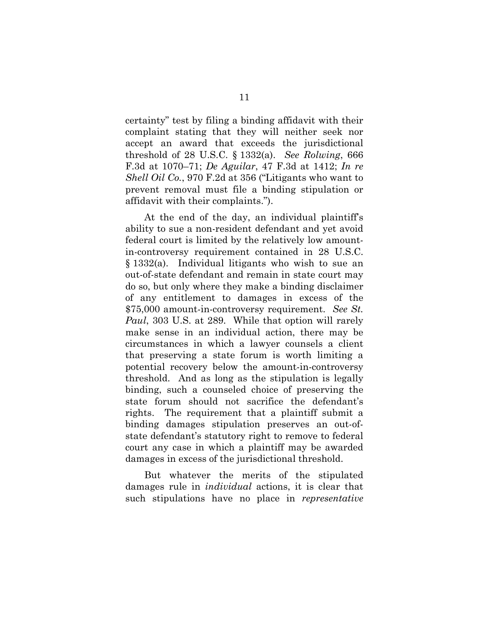certainty" test by filing a binding affidavit with their complaint stating that they will neither seek nor accept an award that exceeds the jurisdictional threshold of 28 U.S.C. § 1332(a). *See Rolwing*, 666 F.3d at 1070–71; *De Aguilar*, 47 F.3d at 1412; *In re Shell Oil Co.*, 970 F.2d at 356 ("Litigants who want to prevent removal must file a binding stipulation or affidavit with their complaints.").

At the end of the day, an individual plaintiff's ability to sue a non-resident defendant and yet avoid federal court is limited by the relatively low amountin-controversy requirement contained in 28 U.S.C. § 1332(a). Individual litigants who wish to sue an out-of-state defendant and remain in state court may do so, but only where they make a binding disclaimer of any entitlement to damages in excess of the \$75,000 amount-in-controversy requirement. *See St. Paul*, 303 U.S. at 289. While that option will rarely make sense in an individual action, there may be circumstances in which a lawyer counsels a client that preserving a state forum is worth limiting a potential recovery below the amount-in-controversy threshold. And as long as the stipulation is legally binding, such a counseled choice of preserving the state forum should not sacrifice the defendant's rights. The requirement that a plaintiff submit a binding damages stipulation preserves an out-ofstate defendant's statutory right to remove to federal court any case in which a plaintiff may be awarded damages in excess of the jurisdictional threshold.

But whatever the merits of the stipulated damages rule in *individual* actions, it is clear that such stipulations have no place in *representative*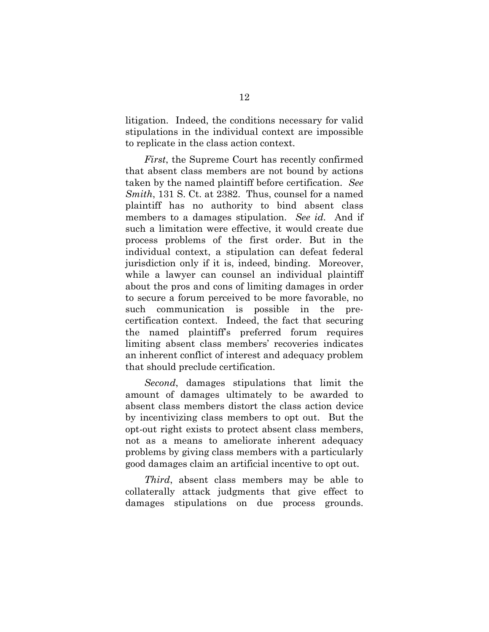litigation. Indeed, the conditions necessary for valid stipulations in the individual context are impossible to replicate in the class action context.

*First*, the Supreme Court has recently confirmed that absent class members are not bound by actions taken by the named plaintiff before certification. *See Smith*, 131 S. Ct. at 2382. Thus, counsel for a named plaintiff has no authority to bind absent class members to a damages stipulation. *See id.* And if such a limitation were effective, it would create due process problems of the first order. But in the individual context, a stipulation can defeat federal jurisdiction only if it is, indeed, binding. Moreover, while a lawyer can counsel an individual plaintiff about the pros and cons of limiting damages in order to secure a forum perceived to be more favorable, no such communication is possible in the precertification context. Indeed, the fact that securing the named plaintiff's preferred forum requires limiting absent class members' recoveries indicates an inherent conflict of interest and adequacy problem that should preclude certification.

*Second*, damages stipulations that limit the amount of damages ultimately to be awarded to absent class members distort the class action device by incentivizing class members to opt out. But the opt-out right exists to protect absent class members, not as a means to ameliorate inherent adequacy problems by giving class members with a particularly good damages claim an artificial incentive to opt out.

*Third*, absent class members may be able to collaterally attack judgments that give effect to damages stipulations on due process grounds.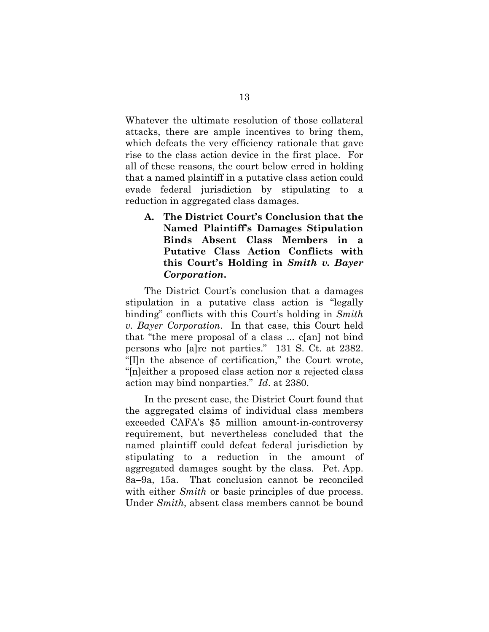Whatever the ultimate resolution of those collateral attacks, there are ample incentives to bring them, which defeats the very efficiency rationale that gave rise to the class action device in the first place. For all of these reasons, the court below erred in holding that a named plaintiff in a putative class action could evade federal jurisdiction by stipulating to a reduction in aggregated class damages.

**A. The District Court's Conclusion that the Named Plaintiff's Damages Stipulation Binds Absent Class Members in a Putative Class Action Conflicts with this Court's Holding in** *Smith v. Bayer Corporation***.** 

The District Court's conclusion that a damages stipulation in a putative class action is "legally binding" conflicts with this Court's holding in *Smith v. Bayer Corporation*. In that case, this Court held that "the mere proposal of a class ... c[an] not bind persons who [a]re not parties." 131 S. Ct. at 2382. "[I]n the absence of certification," the Court wrote, "[n]either a proposed class action nor a rejected class action may bind nonparties." *Id*. at 2380.

In the present case, the District Court found that the aggregated claims of individual class members exceeded CAFA's \$5 million amount-in-controversy requirement, but nevertheless concluded that the named plaintiff could defeat federal jurisdiction by stipulating to a reduction in the amount of aggregated damages sought by the class. Pet. App. 8a–9a, 15a. That conclusion cannot be reconciled with either *Smith* or basic principles of due process. Under *Smith*, absent class members cannot be bound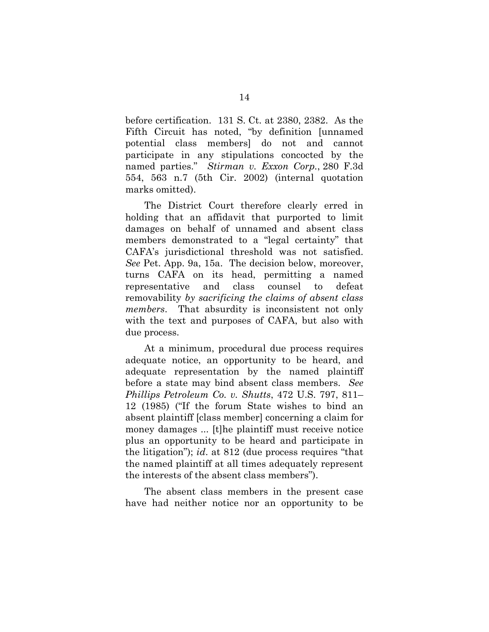before certification. 131 S. Ct. at 2380, 2382. As the Fifth Circuit has noted, "by definition [unnamed potential class members] do not and cannot participate in any stipulations concocted by the named parties." *Stirman v. Exxon Corp.*, 280 F.3d 554, 563 n.7 (5th Cir. 2002) (internal quotation marks omitted).

The District Court therefore clearly erred in holding that an affidavit that purported to limit damages on behalf of unnamed and absent class members demonstrated to a "legal certainty" that CAFA's jurisdictional threshold was not satisfied. *See* Pet. App. 9a, 15a. The decision below, moreover, turns CAFA on its head, permitting a named representative and class counsel to defeat removability *by sacrificing the claims of absent class members*. That absurdity is inconsistent not only with the text and purposes of CAFA, but also with due process.

At a minimum, procedural due process requires adequate notice, an opportunity to be heard, and adequate representation by the named plaintiff before a state may bind absent class members. *See Phillips Petroleum Co. v. Shutts*, 472 U.S. 797, 811– 12 (1985) ("If the forum State wishes to bind an absent plaintiff [class member] concerning a claim for money damages ... [t]he plaintiff must receive notice plus an opportunity to be heard and participate in the litigation"); *id*. at 812 (due process requires "that the named plaintiff at all times adequately represent the interests of the absent class members").

The absent class members in the present case have had neither notice nor an opportunity to be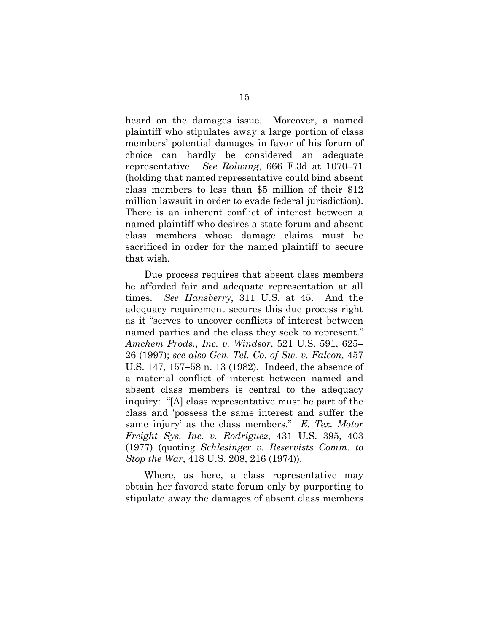heard on the damages issue. Moreover, a named plaintiff who stipulates away a large portion of class members' potential damages in favor of his forum of choice can hardly be considered an adequate representative. *See Rolwing*, 666 F.3d at 1070–71 (holding that named representative could bind absent class members to less than \$5 million of their \$12 million lawsuit in order to evade federal jurisdiction). There is an inherent conflict of interest between a named plaintiff who desires a state forum and absent class members whose damage claims must be sacrificed in order for the named plaintiff to secure that wish.

Due process requires that absent class members be afforded fair and adequate representation at all times. *See Hansberry*, 311 U.S. at 45. And the adequacy requirement secures this due process right as it "serves to uncover conflicts of interest between named parties and the class they seek to represent." *Amchem Prods., Inc. v. Windsor*, 521 U.S. 591, 625– 26 (1997); *see also Gen. Tel. Co. of Sw. v. Falcon,* 457 U.S. 147, 157–58 n. 13 (1982). Indeed, the absence of a material conflict of interest between named and absent class members is central to the adequacy inquiry: "[A] class representative must be part of the class and 'possess the same interest and suffer the same injury' as the class members." *E. Tex. Motor Freight Sys. Inc. v. Rodriguez*, 431 U.S. 395, 403 (1977) (quoting *Schlesinger v. Reservists Comm. to Stop the War*, 418 U.S. 208, 216 (1974)).

Where, as here, a class representative may obtain her favored state forum only by purporting to stipulate away the damages of absent class members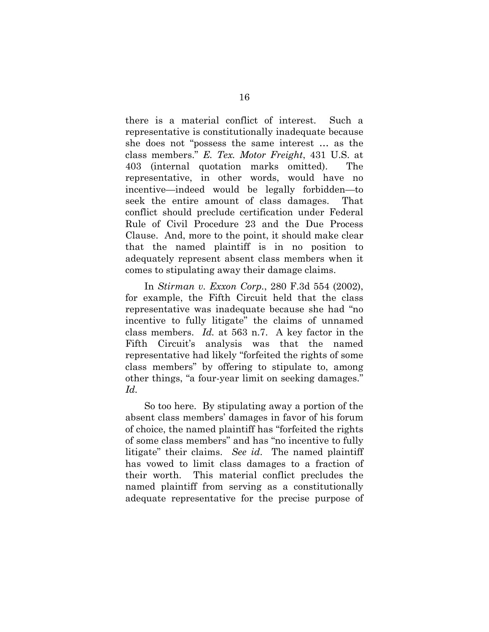there is a material conflict of interest. Such a representative is constitutionally inadequate because she does not "possess the same interest … as the class members." *E. Tex. Motor Freight*, 431 U.S. at 403 (internal quotation marks omitted). The representative, in other words, would have no incentive—indeed would be legally forbidden—to seek the entire amount of class damages. That conflict should preclude certification under Federal Rule of Civil Procedure 23 and the Due Process Clause. And, more to the point, it should make clear that the named plaintiff is in no position to adequately represent absent class members when it comes to stipulating away their damage claims.

In *Stirman v. Exxon Corp.*, 280 F.3d 554 (2002), for example, the Fifth Circuit held that the class representative was inadequate because she had "no incentive to fully litigate" the claims of unnamed class members. *Id.* at 563 n.7. A key factor in the Fifth Circuit's analysis was that the named representative had likely "forfeited the rights of some class members" by offering to stipulate to, among other things, "a four-year limit on seeking damages." *Id.*

So too here. By stipulating away a portion of the absent class members' damages in favor of his forum of choice, the named plaintiff has "forfeited the rights of some class members" and has "no incentive to fully litigate" their claims. *See id*. The named plaintiff has vowed to limit class damages to a fraction of their worth. This material conflict precludes the named plaintiff from serving as a constitutionally adequate representative for the precise purpose of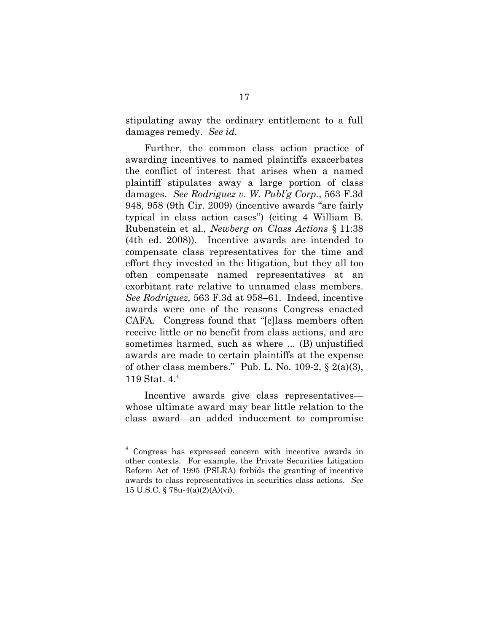stipulating away the ordinary entitlement to a full damages remedy. *See id.*

Further, the common class action practice of awarding incentives to named plaintiffs exacerbates the conflict of interest that arises when a named plaintiff stipulates away a large portion of class damages. *See Rodriguez v. W. Publ'g Corp.*, 563 F.3d 948, 958 (9th Cir. 2009) (incentive awards "are fairly typical in class action cases") (citing 4 William B. Rubenstein et al., *Newberg on Class Actions* § 11:38 (4th ed. 2008)). Incentive awards are intended to compensate class representatives for the time and effort they invested in the litigation, but they all too often compensate named representatives at an exorbitant rate relative to unnamed class members. *See Rodriguez,* 563 F.3d at 958–61. Indeed, incentive awards were one of the reasons Congress enacted CAFA. Congress found that "[c]lass members often receive little or no benefit from class actions, and are sometimes harmed, such as where ... (B) unjustified awards are made to certain plaintiffs at the expense of other class members." Pub. L. No. 109-2,  $\S$  2(a)(3), 119 Stat. 4.<sup>4</sup>

Incentive awards give class representatives whose ultimate award may bear little relation to the class award—an added inducement to compromise

 $\overline{a}$ 

<sup>4</sup> Congress has expressed concern with incentive awards in other contexts. For example, the Private Securities Litigation Reform Act of 1995 (PSLRA) forbids the granting of incentive awards to class representatives in securities class actions. *See* 15 U.S.C. § 78u-4(a)(2)(A)(vi).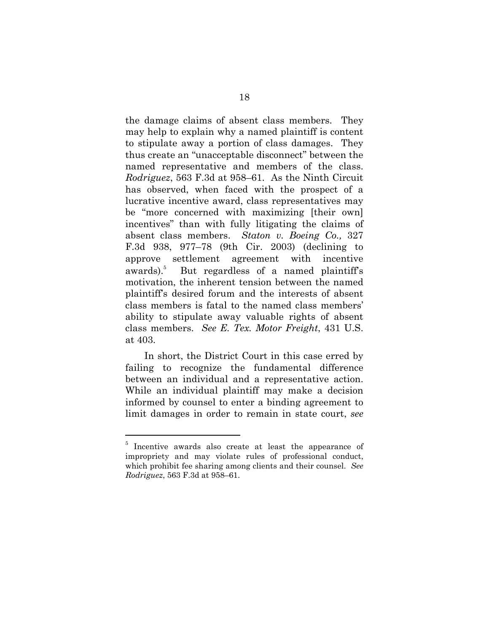the damage claims of absent class members. They may help to explain why a named plaintiff is content to stipulate away a portion of class damages. They thus create an "unacceptable disconnect" between the named representative and members of the class. *Rodriguez*, 563 F.3d at 958–61. As the Ninth Circuit has observed, when faced with the prospect of a lucrative incentive award, class representatives may be "more concerned with maximizing [their own] incentives" than with fully litigating the claims of absent class members. *Staton v. Boeing Co.,* 327 F.3d 938, 977–78 (9th Cir. 2003) (declining to approve settlement agreement with incentive  $awards$ ). $5$  But regardless of a named plaintiff's motivation, the inherent tension between the named plaintiff's desired forum and the interests of absent class members is fatal to the named class members' ability to stipulate away valuable rights of absent class members. *See E. Tex. Motor Freight*, 431 U.S. at 403.

In short, the District Court in this case erred by failing to recognize the fundamental difference between an individual and a representative action. While an individual plaintiff may make a decision informed by counsel to enter a binding agreement to limit damages in order to remain in state court, *see* 

 $\overline{a}$ 

<sup>&</sup>lt;sup>5</sup> Incentive awards also create at least the appearance of impropriety and may violate rules of professional conduct, which prohibit fee sharing among clients and their counsel. *See Rodriguez*, 563 F.3d at 958–61.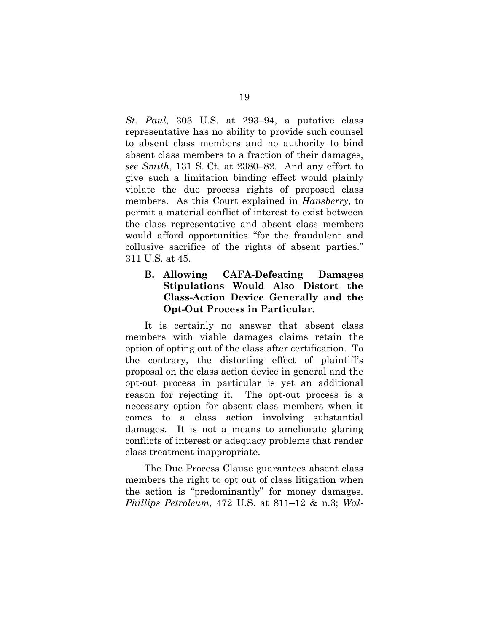*St. Paul*, 303 U.S. at 293–94, a putative class representative has no ability to provide such counsel to absent class members and no authority to bind absent class members to a fraction of their damages, *see Smith*, 131 S. Ct. at 2380–82.And any effort to give such a limitation binding effect would plainly violate the due process rights of proposed class members. As this Court explained in *Hansberry*, to permit a material conflict of interest to exist between the class representative and absent class members would afford opportunities "for the fraudulent and collusive sacrifice of the rights of absent parties." 311 U.S. at 45.

### **B. Allowing CAFA-Defeating Damages Stipulations Would Also Distort the Class-Action Device Generally and the Opt-Out Process in Particular.**

It is certainly no answer that absent class members with viable damages claims retain the option of opting out of the class after certification. To the contrary, the distorting effect of plaintiff's proposal on the class action device in general and the opt-out process in particular is yet an additional reason for rejecting it. The opt-out process is a necessary option for absent class members when it comes to a class action involving substantial damages. It is not a means to ameliorate glaring conflicts of interest or adequacy problems that render class treatment inappropriate.

The Due Process Clause guarantees absent class members the right to opt out of class litigation when the action is "predominantly" for money damages. *Phillips Petroleum*, 472 U.S. at 811–12 & n.3; *Wal-*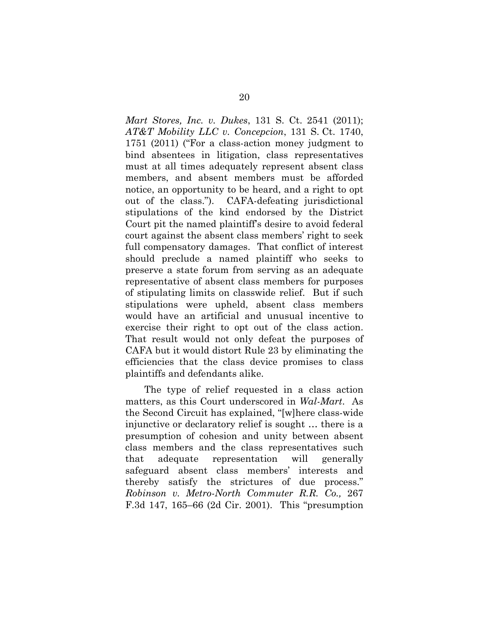*Mart Stores, Inc. v. Dukes*, 131 S. Ct. 2541 (2011); *AT&T Mobility LLC v. Concepcion*, 131 S. Ct. 1740, 1751 (2011) ("For a class-action money judgment to bind absentees in litigation, class representatives must at all times adequately represent absent class members, and absent members must be afforded notice, an opportunity to be heard, and a right to opt out of the class."). CAFA-defeating jurisdictional stipulations of the kind endorsed by the District Court pit the named plaintiff's desire to avoid federal court against the absent class members' right to seek full compensatory damages. That conflict of interest should preclude a named plaintiff who seeks to preserve a state forum from serving as an adequate representative of absent class members for purposes of stipulating limits on classwide relief. But if such stipulations were upheld, absent class members would have an artificial and unusual incentive to exercise their right to opt out of the class action. That result would not only defeat the purposes of CAFA but it would distort Rule 23 by eliminating the efficiencies that the class device promises to class plaintiffs and defendants alike.

The type of relief requested in a class action matters, as this Court underscored in *Wal-Mart*. As the Second Circuit has explained, "[w]here class-wide injunctive or declaratory relief is sought … there is a presumption of cohesion and unity between absent class members and the class representatives such that adequate representation will generally safeguard absent class members' interests and thereby satisfy the strictures of due process." *Robinson v. Metro-North Commuter R.R. Co.,* 267 F.3d 147, 165–66 (2d Cir. 2001). This "presumption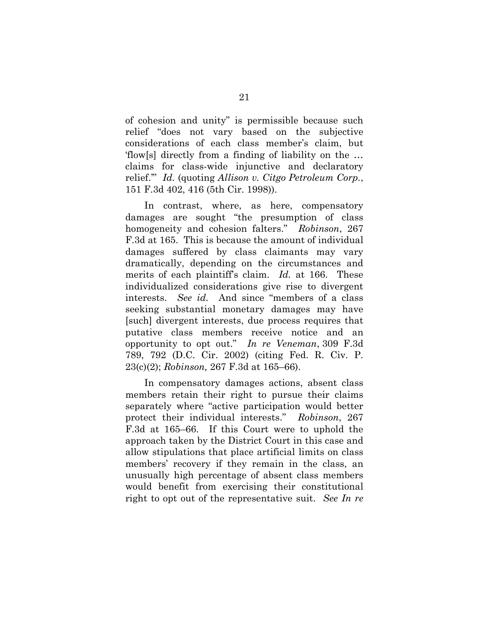of cohesion and unity" is permissible because such relief "does not vary based on the subjective considerations of each class member's claim, but 'flow[s] directly from a finding of liability on the … claims for class-wide injunctive and declaratory relief.'" *Id.* (quoting *Allison v. Citgo Petroleum Corp.*, 151 F.3d 402, 416 (5th Cir. 1998)).

In contrast, where, as here, compensatory damages are sought "the presumption of class homogeneity and cohesion falters." *Robinson*, 267 F.3d at 165. This is because the amount of individual damages suffered by class claimants may vary dramatically, depending on the circumstances and merits of each plaintiff's claim. *Id.* at 166. These individualized considerations give rise to divergent interests. *See id.* And since "members of a class seeking substantial monetary damages may have [such] divergent interests, due process requires that putative class members receive notice and an opportunity to opt out." *In re Veneman*, 309 F.3d 789, 792 (D.C. Cir. 2002) (citing Fed. R. Civ. P. 23(c)(2); *Robinson,* 267 F.3d at 165–66).

In compensatory damages actions, absent class members retain their right to pursue their claims separately where "active participation would better protect their individual interests." *Robinson*, 267 F.3d at 165–66. If this Court were to uphold the approach taken by the District Court in this case and allow stipulations that place artificial limits on class members' recovery if they remain in the class, an unusually high percentage of absent class members would benefit from exercising their constitutional right to opt out of the representative suit. *See In re*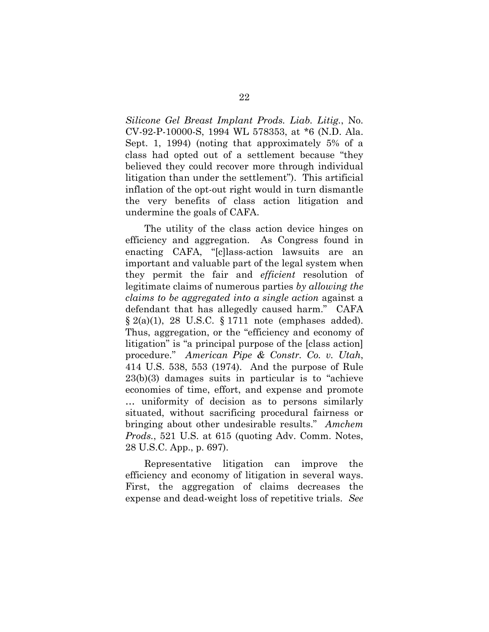*Silicone Gel Breast Implant Prods. Liab. Litig.*, No. CV-92-P-10000-S, 1994 WL 578353, at \*6 (N.D. Ala. Sept. 1, 1994) (noting that approximately 5% of a class had opted out of a settlement because "they believed they could recover more through individual litigation than under the settlement"). This artificial inflation of the opt-out right would in turn dismantle the very benefits of class action litigation and undermine the goals of CAFA.

The utility of the class action device hinges on efficiency and aggregation. As Congress found in enacting CAFA, "[c]lass-action lawsuits are an important and valuable part of the legal system when they permit the fair and *efficient* resolution of legitimate claims of numerous parties *by allowing the claims to be aggregated into a single action* against a defendant that has allegedly caused harm." CAFA  $\S 2(a)(1)$ , 28 U.S.C.  $\S 1711$  note (emphases added). Thus, aggregation, or the "efficiency and economy of litigation" is "a principal purpose of the [class action] procedure." *American Pipe & Constr. Co. v. Utah*, 414 U.S. 538, 553 (1974). And the purpose of Rule 23(b)(3) damages suits in particular is to "achieve economies of time, effort, and expense and promote … uniformity of decision as to persons similarly situated, without sacrificing procedural fairness or bringing about other undesirable results." *Amchem Prods.*, 521 U.S. at 615 (quoting Adv. Comm. Notes, 28 U.S.C. App., p. 697).

Representative litigation can improve the efficiency and economy of litigation in several ways. First, the aggregation of claims decreases the expense and dead-weight loss of repetitive trials. *See*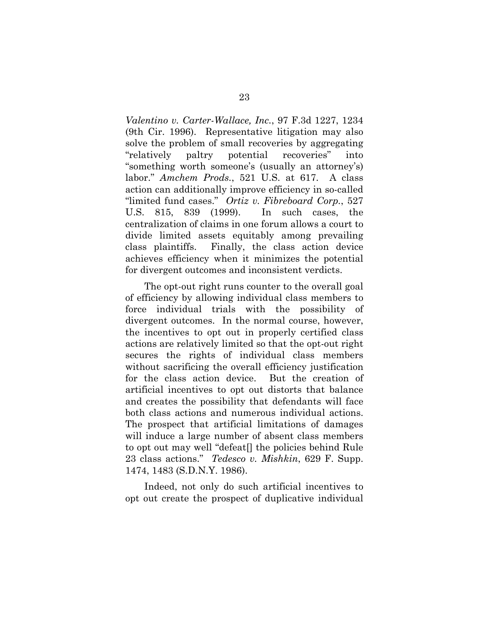*Valentino v. Carter-Wallace, Inc.*, 97 F.3d 1227, 1234 (9th Cir. 1996). Representative litigation may also solve the problem of small recoveries by aggregating "relatively paltry potential recoveries" into "something worth someone's (usually an attorney's) labor." *Amchem Prods.*, 521 U.S. at 617. A class action can additionally improve efficiency in so-called "limited fund cases." *Ortiz v. Fibreboard Corp.*, 527 U.S. 815, 839 (1999). In such cases, the centralization of claims in one forum allows a court to divide limited assets equitably among prevailing class plaintiffs. Finally, the class action device achieves efficiency when it minimizes the potential for divergent outcomes and inconsistent verdicts.

The opt-out right runs counter to the overall goal of efficiency by allowing individual class members to force individual trials with the possibility of divergent outcomes. In the normal course, however, the incentives to opt out in properly certified class actions are relatively limited so that the opt-out right secures the rights of individual class members without sacrificing the overall efficiency justification for the class action device. But the creation of artificial incentives to opt out distorts that balance and creates the possibility that defendants will face both class actions and numerous individual actions. The prospect that artificial limitations of damages will induce a large number of absent class members to opt out may well "defeat[] the policies behind Rule 23 class actions." *Tedesco v. Mishkin*, 629 F. Supp. 1474, 1483 (S.D.N.Y. 1986).

Indeed, not only do such artificial incentives to opt out create the prospect of duplicative individual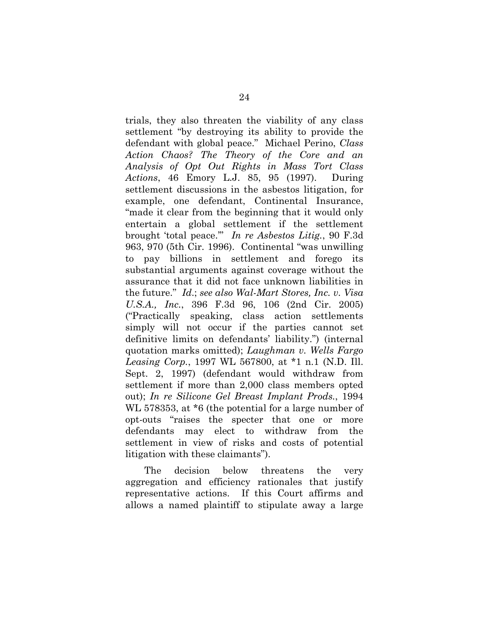trials, they also threaten the viability of any class settlement "by destroying its ability to provide the defendant with global peace." Michael Perino, *Class Action Chaos? The Theory of the Core and an Analysis of Opt Out Rights in Mass Tort Class Actions*, 46 Emory L.J. 85, 95 (1997). During settlement discussions in the asbestos litigation, for example, one defendant, Continental Insurance, "made it clear from the beginning that it would only entertain a global settlement if the settlement brought 'total peace.'" *In re Asbestos Litig.*, 90 F.3d 963, 970 (5th Cir. 1996). Continental "was unwilling to pay billions in settlement and forego its substantial arguments against coverage without the assurance that it did not face unknown liabilities in the future." *Id*.; *see also Wal-Mart Stores, Inc. v. Visa U.S.A., Inc.*, 396 F.3d 96, 106 (2nd Cir. 2005) ("Practically speaking, class action settlements simply will not occur if the parties cannot set definitive limits on defendants' liability.") (internal quotation marks omitted); *Laughman v. Wells Fargo Leasing Corp.*, 1997 WL 567800, at \*1 n.1 (N.D. Ill. Sept. 2, 1997) (defendant would withdraw from settlement if more than 2,000 class members opted out); *In re Silicone Gel Breast Implant Prods.*, 1994 WL 578353, at \*6 (the potential for a large number of opt-outs "raises the specter that one or more defendants may elect to withdraw from the settlement in view of risks and costs of potential litigation with these claimants").

The decision below threatens the very aggregation and efficiency rationales that justify representative actions. If this Court affirms and allows a named plaintiff to stipulate away a large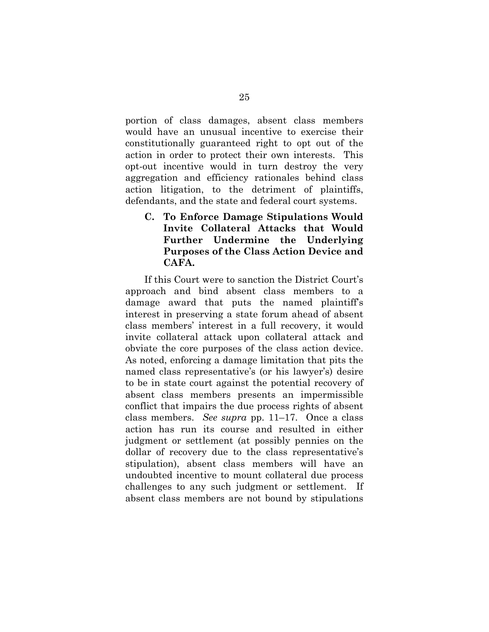portion of class damages, absent class members would have an unusual incentive to exercise their constitutionally guaranteed right to opt out of the action in order to protect their own interests. This opt-out incentive would in turn destroy the very aggregation and efficiency rationales behind class action litigation, to the detriment of plaintiffs, defendants, and the state and federal court systems.

**C. To Enforce Damage Stipulations Would Invite Collateral Attacks that Would Further Undermine the Underlying Purposes of the Class Action Device and CAFA.** 

If this Court were to sanction the District Court's approach and bind absent class members to a damage award that puts the named plaintiff's interest in preserving a state forum ahead of absent class members' interest in a full recovery, it would invite collateral attack upon collateral attack and obviate the core purposes of the class action device. As noted, enforcing a damage limitation that pits the named class representative's (or his lawyer's) desire to be in state court against the potential recovery of absent class members presents an impermissible conflict that impairs the due process rights of absent class members. *See supra* pp. 11–17. Once a class action has run its course and resulted in either judgment or settlement (at possibly pennies on the dollar of recovery due to the class representative's stipulation), absent class members will have an undoubted incentive to mount collateral due process challenges to any such judgment or settlement. If absent class members are not bound by stipulations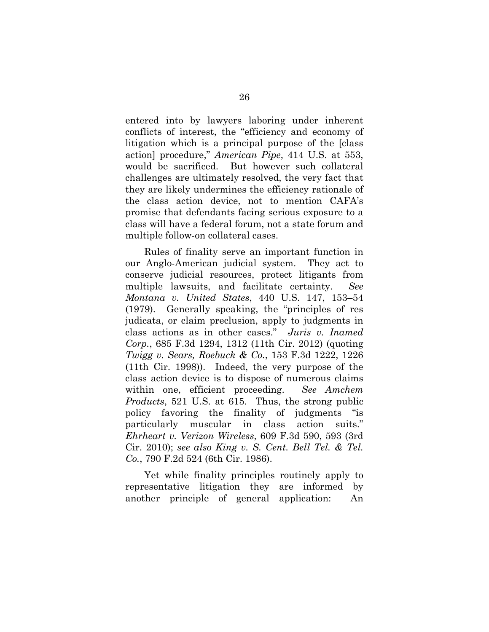entered into by lawyers laboring under inherent conflicts of interest, the "efficiency and economy of litigation which is a principal purpose of the [class action] procedure," *American Pipe*, 414 U.S. at 553, would be sacrificed. But however such collateral challenges are ultimately resolved, the very fact that they are likely undermines the efficiency rationale of the class action device, not to mention CAFA's promise that defendants facing serious exposure to a class will have a federal forum, not a state forum and multiple follow-on collateral cases.

Rules of finality serve an important function in our Anglo-American judicial system. They act to conserve judicial resources, protect litigants from multiple lawsuits, and facilitate certainty. *See Montana v. United States*, 440 U.S. 147, 153–54 (1979). Generally speaking, the "principles of res judicata, or claim preclusion, apply to judgments in class actions as in other cases." *Juris v. Inamed Corp.*, 685 F.3d 1294, 1312 (11th Cir. 2012) (quoting *Twigg v. Sears, Roebuck & Co.*, 153 F.3d 1222, 1226 (11th Cir. 1998)). Indeed, the very purpose of the class action device is to dispose of numerous claims within one, efficient proceeding. *See Amchem Products*, 521 U.S. at 615. Thus, the strong public policy favoring the finality of judgments "is particularly muscular in class action suits." *Ehrheart v. Verizon Wireless*, 609 F.3d 590, 593 (3rd Cir. 2010); *see also King v. S. Cent. Bell Tel. & Tel. Co.*, 790 F.2d 524 (6th Cir. 1986).

Yet while finality principles routinely apply to representative litigation they are informed by another principle of general application: An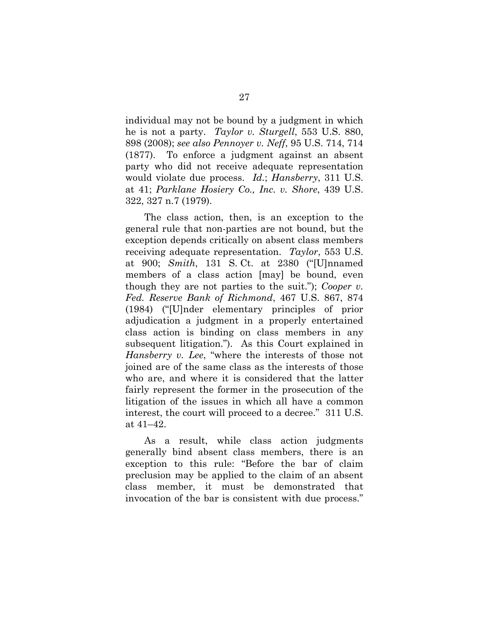individual may not be bound by a judgment in which he is not a party. *Taylor v. Sturgell*, 553 U.S. 880, 898 (2008); *see also Pennoyer v. Neff*, 95 U.S. 714, 714 (1877). To enforce a judgment against an absent party who did not receive adequate representation would violate due process. *Id.*; *Hansberry*, 311 U.S. at 41; *Parklane Hosiery Co., Inc. v. Shore*, 439 U.S. 322, 327 n.7 (1979).

The class action, then, is an exception to the general rule that non-parties are not bound, but the exception depends critically on absent class members receiving adequate representation. *Taylor*, 553 U.S. at 900; *Smith*, 131 S. Ct. at 2380 ("[U]nnamed members of a class action [may] be bound, even though they are not parties to the suit."); *Cooper v. Fed. Reserve Bank of Richmond*, 467 U.S. 867, 874 (1984) ("[U]nder elementary principles of prior adjudication a judgment in a properly entertained class action is binding on class members in any subsequent litigation."). As this Court explained in *Hansberry v. Lee*, "where the interests of those not joined are of the same class as the interests of those who are, and where it is considered that the latter fairly represent the former in the prosecution of the litigation of the issues in which all have a common interest, the court will proceed to a decree." 311 U.S. at 41–42.

As a result, while class action judgments generally bind absent class members, there is an exception to this rule: "Before the bar of claim preclusion may be applied to the claim of an absent class member, it must be demonstrated that invocation of the bar is consistent with due process."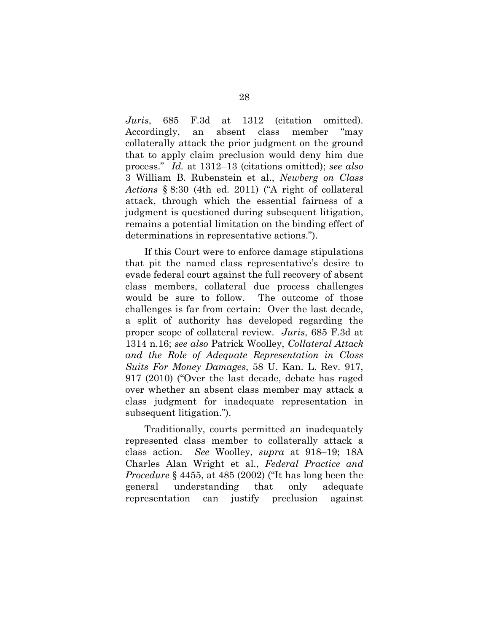*Juris*, 685 F.3d at 1312 (citation omitted). Accordingly, an absent class member "may collaterally attack the prior judgment on the ground that to apply claim preclusion would deny him due process." *Id.* at 1312–13 (citations omitted); *see also*  3 William B. Rubenstein et al., *Newberg on Class Actions* § 8:30 (4th ed. 2011) ("A right of collateral attack, through which the essential fairness of a judgment is questioned during subsequent litigation, remains a potential limitation on the binding effect of determinations in representative actions.").

If this Court were to enforce damage stipulations that pit the named class representative's desire to evade federal court against the full recovery of absent class members, collateral due process challenges would be sure to follow. The outcome of those challenges is far from certain: Over the last decade, a split of authority has developed regarding the proper scope of collateral review. *Juris*, 685 F.3d at 1314 n.16; *see also* Patrick Woolley, *Collateral Attack and the Role of Adequate Representation in Class Suits For Money Damages*, 58 U. Kan. L. Rev. 917, 917 (2010) ("Over the last decade, debate has raged over whether an absent class member may attack a class judgment for inadequate representation in subsequent litigation.").

Traditionally, courts permitted an inadequately represented class member to collaterally attack a class action. *See* Woolley, *supra* at 918–19; 18A Charles Alan Wright et al., *Federal Practice and Procedure* § 4455, at 485 (2002) ("It has long been the general understanding that only adequate representation can justify preclusion against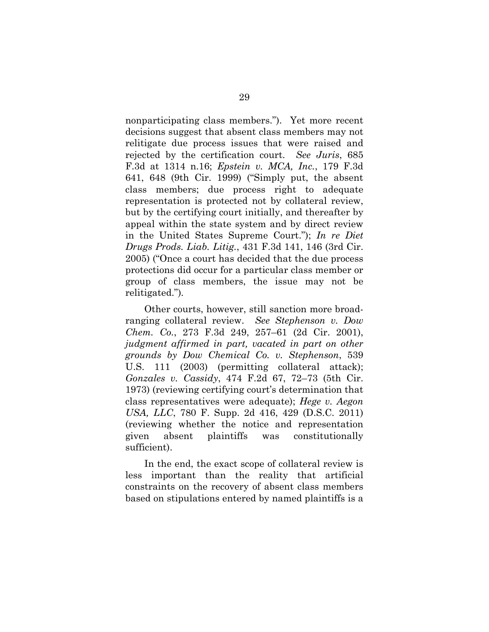nonparticipating class members."). Yet more recent decisions suggest that absent class members may not relitigate due process issues that were raised and rejected by the certification court. *See Juris*, 685 F.3d at 1314 n.16; *Epstein v. MCA, Inc.*, 179 F.3d 641, 648 (9th Cir. 1999) ("Simply put, the absent class members; due process right to adequate representation is protected not by collateral review, but by the certifying court initially, and thereafter by appeal within the state system and by direct review in the United States Supreme Court."); *In re Diet Drugs Prods. Liab. Litig.*, 431 F.3d 141, 146 (3rd Cir. 2005) ("Once a court has decided that the due process protections did occur for a particular class member or group of class members, the issue may not be relitigated.")*.*

Other courts, however, still sanction more broadranging collateral review. *See Stephenson v. Dow Chem. Co.*, 273 F.3d 249, 257–61 (2d Cir. 2001), *judgment affirmed in part, vacated in part on other grounds by Dow Chemical Co. v. Stephenson*, 539 U.S. 111 (2003) (permitting collateral attack); *Gonzales v. Cassidy*, 474 F.2d 67, 72–73 (5th Cir. 1973) (reviewing certifying court's determination that class representatives were adequate); *Hege v. Aegon USA, LLC*, 780 F. Supp. 2d 416, 429 (D.S.C. 2011) (reviewing whether the notice and representation given absent plaintiffs was constitutionally sufficient).

In the end, the exact scope of collateral review is less important than the reality that artificial constraints on the recovery of absent class members based on stipulations entered by named plaintiffs is a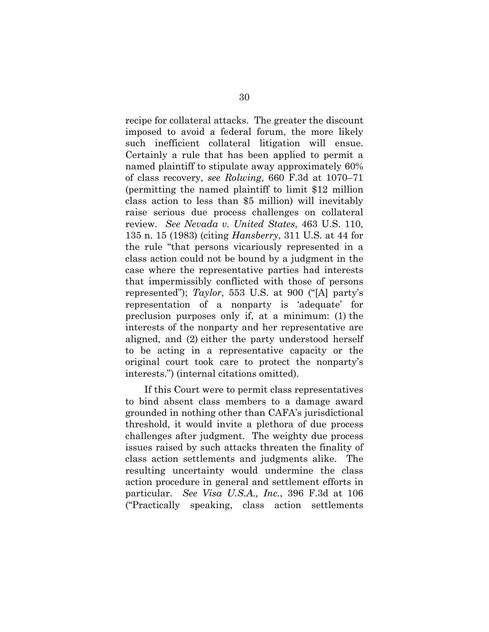recipe for collateral attacks. The greater the discount imposed to avoid a federal forum, the more likely such inefficient collateral litigation will ensue. Certainly a rule that has been applied to permit a named plaintiff to stipulate away approximately 60% of class recovery, *see Rolwing*, 660 F.3d at 1070–71 (permitting the named plaintiff to limit \$12 million class action to less than \$5 million) will inevitably raise serious due process challenges on collateral review. *See Nevada v. United States*, 463 U.S. 110, 135 n. 15 (1983) (citing *Hansberry*, 311 U.S. at 44 for the rule "that persons vicariously represented in a class action could not be bound by a judgment in the case where the representative parties had interests that impermissibly conflicted with those of persons represented"); *Taylor*, 553 U.S. at 900 ("[A] party's representation of a nonparty is 'adequate' for preclusion purposes only if, at a minimum: (1) the interests of the nonparty and her representative are aligned, and (2) either the party understood herself to be acting in a representative capacity or the original court took care to protect the nonparty's interests.") (internal citations omitted).

If this Court were to permit class representatives to bind absent class members to a damage award grounded in nothing other than CAFA's jurisdictional threshold, it would invite a plethora of due process challenges after judgment. The weighty due process issues raised by such attacks threaten the finality of class action settlements and judgments alike. The resulting uncertainty would undermine the class action procedure in general and settlement efforts in particular. *See Visa U.S.A., Inc.*, 396 F.3d at 106 ("Practically speaking, class action settlements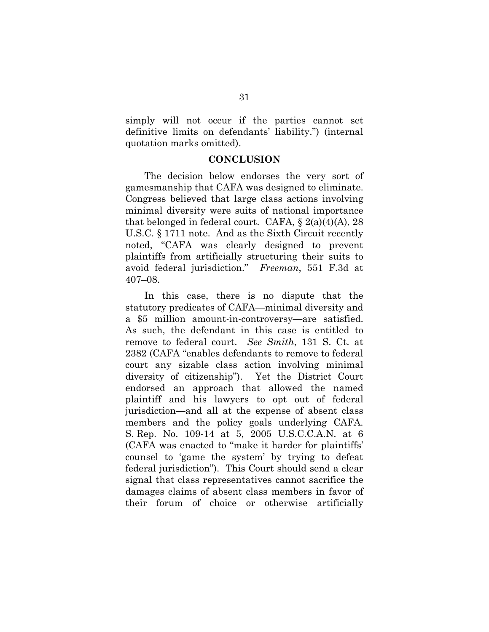simply will not occur if the parties cannot set definitive limits on defendants' liability.") (internal quotation marks omitted).

### **CONCLUSION**

The decision below endorses the very sort of gamesmanship that CAFA was designed to eliminate. Congress believed that large class actions involving minimal diversity were suits of national importance that belonged in federal court. CAFA,  $\S 2(a)(4)(A)$ , 28 U.S.C. § 1711 note. And as the Sixth Circuit recently noted, "CAFA was clearly designed to prevent plaintiffs from artificially structuring their suits to avoid federal jurisdiction." *Freeman*, 551 F.3d at 407–08.

In this case, there is no dispute that the statutory predicates of CAFA—minimal diversity and a \$5 million amount-in-controversy—are satisfied. As such, the defendant in this case is entitled to remove to federal court. *See Smith*, 131 S. Ct. at 2382 (CAFA "enables defendants to remove to federal court any sizable class action involving minimal diversity of citizenship"). Yet the District Court endorsed an approach that allowed the named plaintiff and his lawyers to opt out of federal jurisdiction—and all at the expense of absent class members and the policy goals underlying CAFA. S. Rep. No. 109-14 at 5, 2005 U.S.C.C.A.N. at 6 (CAFA was enacted to "make it harder for plaintiffs' counsel to 'game the system' by trying to defeat federal jurisdiction"). This Court should send a clear signal that class representatives cannot sacrifice the damages claims of absent class members in favor of their forum of choice or otherwise artificially